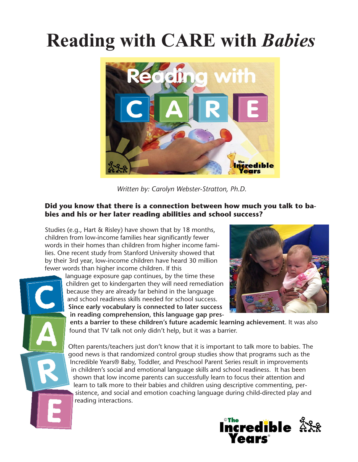## **Reading with CARE with** *Babies*



*Written by: Carolyn Webster-Stratton, Ph.D.*

## **Did you know that there is a connection between how much you talk to babies and his or her later reading abilities and school success?**

Studies (e.g., Hart & Risley) have shown that by 18 months, children from low-income families hear significantly fewer words in their homes than children from higher income families. One recent study from Stanford University showed that by their 3rd year, low-income children have heard 30 million fewer words than higher income children. If this

language exposure gap continues, by the time these children get to kindergarten they will need remediation because they are already far behind in the language and school readiness skills needed for school success. **Since early vocabulary is connected to later success in reading comprehension, this language gap pres-**



**ents a barrier to these children's future academic learning achievement**. It was also found that TV talk not only didn't help, but it was a barrier.

Often parents/teachers just don't know that it is important to talk more to babies. The good news is that randomized control group studies show that programs such as the Incredible Years® Baby, Toddler, and Preschool Parent Series result in improvements in children's social and emotional language skills and school readiness. It has been shown that low income parents can successfully learn to focus their attention and learn to talk more to their babies and children using descriptive commenting, persistence, and social and emotion coaching language during child-directed play and reading interactions.

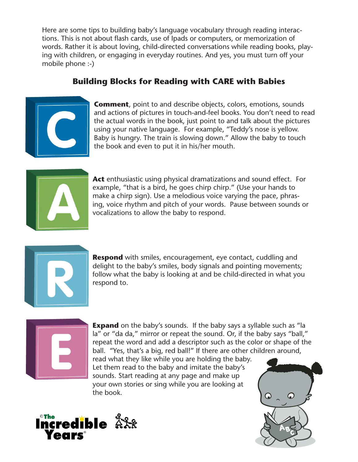Here are some tips to building baby's language vocabulary through reading interactions. This is not about flash cards, use of Ipads or computers, or memorization of words. Rather it is about loving, child-directed conversations while reading books, playing with children, or engaging in everyday routines. And yes, you must turn off your mobile phone :-)

## **Building Blocks for Reading with CARE with Babies**



**Comment**, point to and describe objects, colors, emotions, sounds and actions of pictures in touch-and-feel books. You don't need to read the actual words in the book, just point to and talk about the pictures using your native language. For example, "Teddy's nose is yellow. Baby is hungry. The train is slowing down." Allow the baby to touch the book and even to put it in his/her mouth.



**Act** enthusiastic using physical dramatizations and sound effect. For example, "that is a bird, he goes chirp chirp." (Use your hands to make a chirp sign). Use a melodious voice varying the pace, phrasing, voice rhythm and pitch of your words. Pause between sounds or vocalizations to allow the baby to respond.



**Respond** with smiles, encouragement, eye contact, cuddling and delight to the baby's smiles, body signals and pointing movements; follow what the baby is looking at and be child-directed in what you respond to.



**Expand** on the baby's sounds. If the baby says a syllable such as "la la" or "da da," mirror or repeat the sound. Or, if the baby says "ball," repeat the word and add a descriptor such as the color or shape of the ball. "Yes, that's a big, red ball!" If there are other children around,

read what they like while you are holding the baby. Let them read to the baby and imitate the baby's sounds. Start reading at any page and make up your own stories or sing while you are looking at the book.